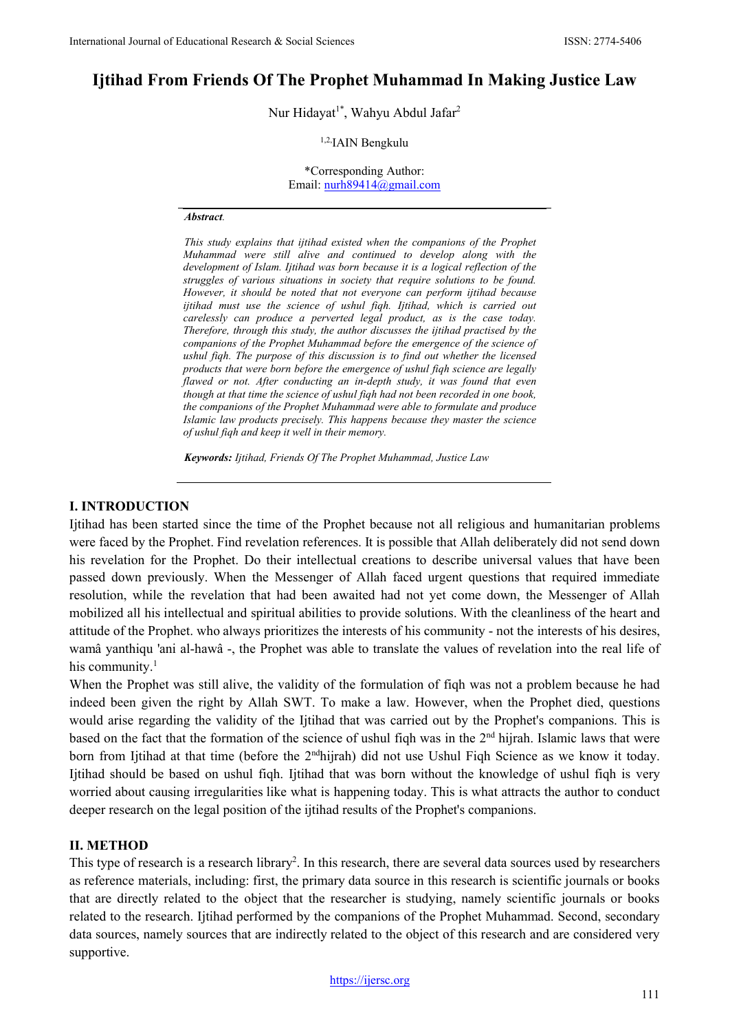# **Ijtihad From Friends Of The Prophet Muhammad In Making Justice Law**

Nur Hidayat<sup>1\*</sup>, Wahyu Abdul Jafar<sup>2</sup>

#### 1,2,IAIN Bengkulu

\*Corresponding Author: Email[: nurh89414@gmail.com](mailto:nurh89414@gmail.com)

#### *Abstract.*

*This study explains that ijtihad existed when the companions of the Prophet Muhammad were still alive and continued to develop along with the development of Islam. Ijtihad was born because it is a logical reflection of the struggles of various situations in society that require solutions to be found. However, it should be noted that not everyone can perform ijtihad because ijtihad must use the science of ushul fiqh. Ijtihad, which is carried out carelessly can produce a perverted legal product, as is the case today. Therefore, through this study, the author discusses the ijtihad practised by the companions of the Prophet Muhammad before the emergence of the science of ushul fiqh. The purpose of this discussion is to find out whether the licensed products that were born before the emergence of ushul fiqh science are legally flawed or not. After conducting an in-depth study, it was found that even though at that time the science of ushul fiqh had not been recorded in one book, the companions of the Prophet Muhammad were able to formulate and produce Islamic law products precisely. This happens because they master the science of ushul fiqh and keep it well in their memory.*

*Keywords: Ijtihad, Friends Of The Prophet Muhammad, Justice Law*

#### **I. INTRODUCTION**

Ijtihad has been started since the time of the Prophet because not all religious and humanitarian problems were faced by the Prophet. Find revelation references. It is possible that Allah deliberately did not send down his revelation for the Prophet. Do their intellectual creations to describe universal values that have been passed down previously. When the Messenger of Allah faced urgent questions that required immediate resolution, while the revelation that had been awaited had not yet come down, the Messenger of Allah mobilized all his intellectual and spiritual abilities to provide solutions. With the cleanliness of the heart and attitude of the Prophet. who always prioritizes the interests of his community - not the interests of his desires, wamâ yanthiqu 'ani al-hawâ -, the Prophet was able to translate the values of revelation into the real life of his community. $1$ 

When the Prophet was still alive, the validity of the formulation of fiqh was not a problem because he had indeed been given the right by Allah SWT. To make a law. However, when the Prophet died, questions would arise regarding the validity of the Ijtihad that was carried out by the Prophet's companions. This is based on the fact that the formation of the science of ushul fiqh was in the 2nd hijrah. Islamic laws that were born from Ijtihad at that time (before the 2<sup>nd</sup>hijrah) did not use Ushul Fiqh Science as we know it today. Ijtihad should be based on ushul fiqh. Ijtihad that was born without the knowledge of ushul fiqh is very worried about causing irregularities like what is happening today. This is what attracts the author to conduct deeper research on the legal position of the ijtihad results of the Prophet's companions.

#### **II. METHOD**

This type of research is a research library<sup>2</sup>. In this research, there are several data sources used by researchers as reference materials, including: first, the primary data source in this research is scientific journals or books that are directly related to the object that the researcher is studying, namely scientific journals or books related to the research. Ijtihad performed by the companions of the Prophet Muhammad. Second, secondary data sources, namely sources that are indirectly related to the object of this research and are considered very supportive.

[https://ijersc.org](https://ijersc.org/)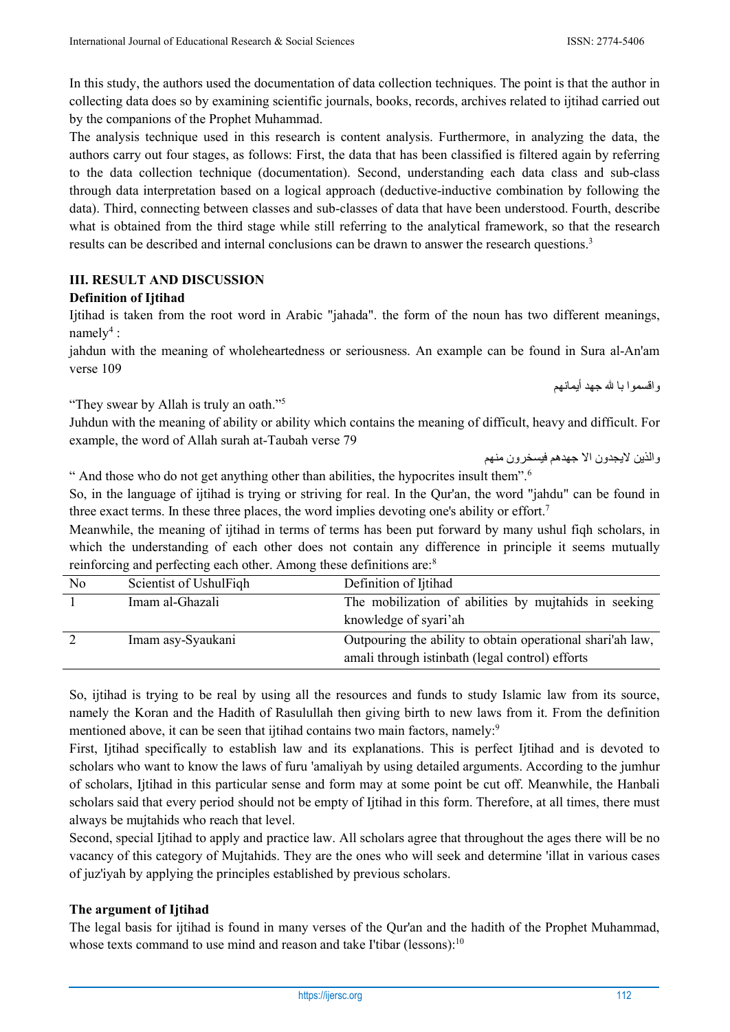In this study, the authors used the documentation of data collection techniques. The point is that the author in collecting data does so by examining scientific journals, books, records, archives related to ijtihad carried out by the companions of the Prophet Muhammad.

The analysis technique used in this research is content analysis. Furthermore, in analyzing the data, the authors carry out four stages, as follows: First, the data that has been classified is filtered again by referring to the data collection technique (documentation). Second, understanding each data class and sub-class through data interpretation based on a logical approach (deductive-inductive combination by following the data). Third, connecting between classes and sub-classes of data that have been understood. Fourth, describe what is obtained from the third stage while still referring to the analytical framework, so that the research results can be described and internal conclusions can be drawn to answer the research questions.3

## **III. RESULT AND DISCUSSION**

## **Definition of Ijtihad**

Ijtihad is taken from the root word in Arabic "jahada". the form of the noun has two different meanings, namely<sup>4</sup> :

jahdun with the meaning of wholeheartedness or seriousness. An example can be found in Sura al-An'am verse 109

"They swear by Allah is truly an oath."5

Juhdun with the meaning of ability or ability which contains the meaning of difficult, heavy and difficult. For example, the word of Allah surah at-Taubah verse 79

والذين لايجدون الا جهدهم فيسخرون منهم

و اقسمو ا بـا لله جـهد أبمـانـهم

" And those who do not get anything other than abilities, the hypocrites insult them".6

So, in the language of ijtihad is trying or striving for real. In the Qur'an, the word "jahdu" can be found in three exact terms. In these three places, the word implies devoting one's ability or effort.7

Meanwhile, the meaning of ijtihad in terms of terms has been put forward by many ushul fiqh scholars, in which the understanding of each other does not contain any difference in principle it seems mutually reinforcing and perfecting each other. Among these definitions are:8

| No | Scientist of UshulFiqh | Definition of Ijtihad                                      |
|----|------------------------|------------------------------------------------------------|
|    | Imam al-Ghazali        | The mobilization of abilities by mujtahids in seeking      |
|    |                        | knowledge of syari'ah                                      |
|    | Imam asy-Syaukani      | Outpouring the ability to obtain operational shari'ah law, |
|    |                        | amali through istinbath (legal control) efforts            |

So, ijtihad is trying to be real by using all the resources and funds to study Islamic law from its source, namely the Koran and the Hadith of Rasulullah then giving birth to new laws from it. From the definition mentioned above, it can be seen that ijtihad contains two main factors, namely:<sup>9</sup>

First, Ijtihad specifically to establish law and its explanations. This is perfect Ijtihad and is devoted to scholars who want to know the laws of furu 'amaliyah by using detailed arguments. According to the jumhur of scholars, Ijtihad in this particular sense and form may at some point be cut off. Meanwhile, the Hanbali scholars said that every period should not be empty of Ijtihad in this form. Therefore, at all times, there must always be mujtahids who reach that level.

Second, special Ijtihad to apply and practice law. All scholars agree that throughout the ages there will be no vacancy of this category of Mujtahids. They are the ones who will seek and determine 'illat in various cases of juz'iyah by applying the principles established by previous scholars.

## **The argument of Ijtihad**

The legal basis for ijtihad is found in many verses of the Qur'an and the hadith of the Prophet Muhammad, whose texts command to use mind and reason and take I'tibar (lessons):<sup>10</sup>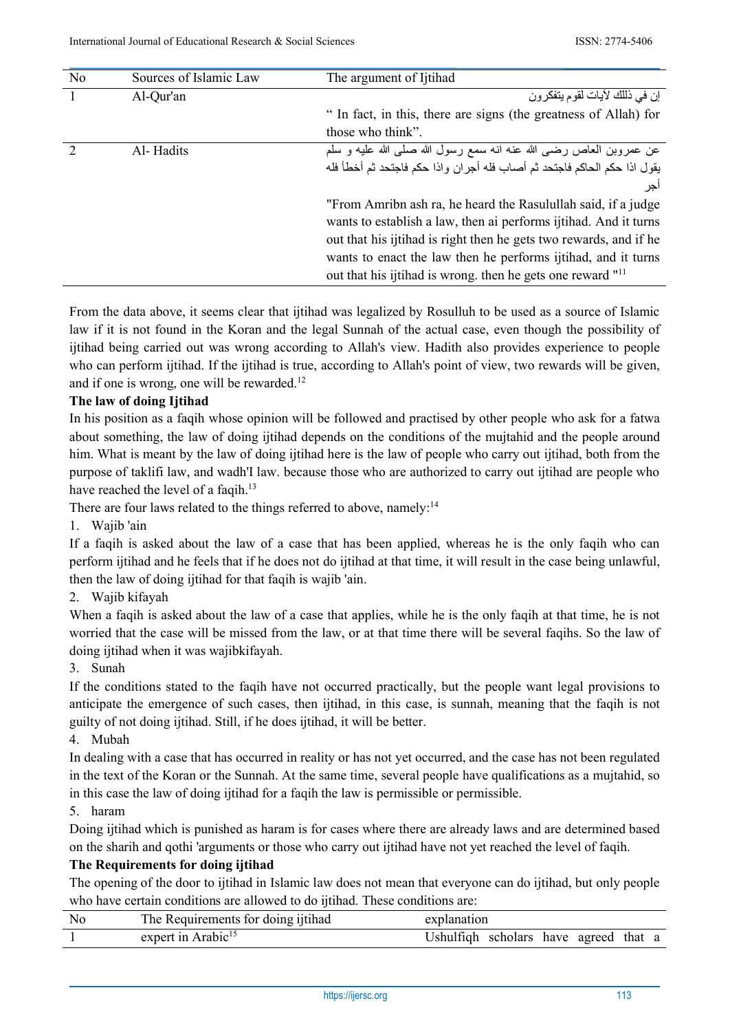| N <sub>o</sub> | Sources of Islamic Law | The argument of Ijtihad                                                  |
|----------------|------------------------|--------------------------------------------------------------------------|
|                | Al-Qur'an              | إن في ذللك لأيات لقوم يتفكر ون                                           |
|                |                        | " In fact, in this, there are signs (the greatness of Allah) for         |
|                |                        | those who think".                                                        |
|                | Al-Hadits              | عن عمروبن العاص رضيي الله عنه انه سمع رسول الله صلى الله عليه و سلم      |
|                |                        | يقول اذا حكم الحاكم فاجتحد ثم أصاب فله أجران واذا حكم فاجتحد ثم أخطأ فله |
|                |                        | اجر                                                                      |
|                |                        | "From Amribn ash ra, he heard the Rasulullah said, if a judge            |
|                |                        | wants to establish a law, then ai performs ijtihad. And it turns         |
|                |                        | out that his ijtihad is right then he gets two rewards, and if he        |
|                |                        | wants to enact the law then he performs ijtihad, and it turns            |
|                |                        | out that his ijtihad is wrong. then he gets one reward " <sup>11</sup>   |

From the data above, it seems clear that ijtihad was legalized by Rosulluh to be used as a source of Islamic law if it is not found in the Koran and the legal Sunnah of the actual case, even though the possibility of ijtihad being carried out was wrong according to Allah's view. Hadith also provides experience to people who can perform ijtihad. If the ijtihad is true, according to Allah's point of view, two rewards will be given, and if one is wrong, one will be rewarded.<sup>12</sup>

#### **The law of doing Ijtihad**

In his position as a faqih whose opinion will be followed and practised by other people who ask for a fatwa about something, the law of doing ijtihad depends on the conditions of the mujtahid and the people around him. What is meant by the law of doing ijtihad here is the law of people who carry out ijtihad, both from the purpose of taklifi law, and wadh'I law. because those who are authorized to carry out ijtihad are people who have reached the level of a faqih.<sup>13</sup>

There are four laws related to the things referred to above, namely:<sup>14</sup>

1. Wajib 'ain

If a faqih is asked about the law of a case that has been applied, whereas he is the only faqih who can perform ijtihad and he feels that if he does not do ijtihad at that time, it will result in the case being unlawful, then the law of doing ijtihad for that faqih is wajib 'ain.

2. Wajib kifayah

When a faqih is asked about the law of a case that applies, while he is the only faqih at that time, he is not worried that the case will be missed from the law, or at that time there will be several faqihs. So the law of doing ijtihad when it was wajibkifayah.

3. Sunah

If the conditions stated to the faqih have not occurred practically, but the people want legal provisions to anticipate the emergence of such cases, then ijtihad, in this case, is sunnah, meaning that the faqih is not guilty of not doing ijtihad. Still, if he does ijtihad, it will be better.

4. Mubah

In dealing with a case that has occurred in reality or has not yet occurred, and the case has not been regulated in the text of the Koran or the Sunnah. At the same time, several people have qualifications as a mujtahid, so in this case the law of doing ijtihad for a faqih the law is permissible or permissible.

5. haram

Doing ijtihad which is punished as haram is for cases where there are already laws and are determined based on the sharih and qothi 'arguments or those who carry out ijtihad have not yet reached the level of faqih.

#### **The Requirements for doing ijtihad**

The opening of the door to ijtihad in Islamic law does not mean that everyone can do ijtihad, but only people who have certain conditions are allowed to do ijtihad. These conditions are:

| No | The Requirements for doing ijtihad | explanation                           |
|----|------------------------------------|---------------------------------------|
|    | expert in Arabic <sup>15</sup>     | Ushulfiqh scholars have agreed that a |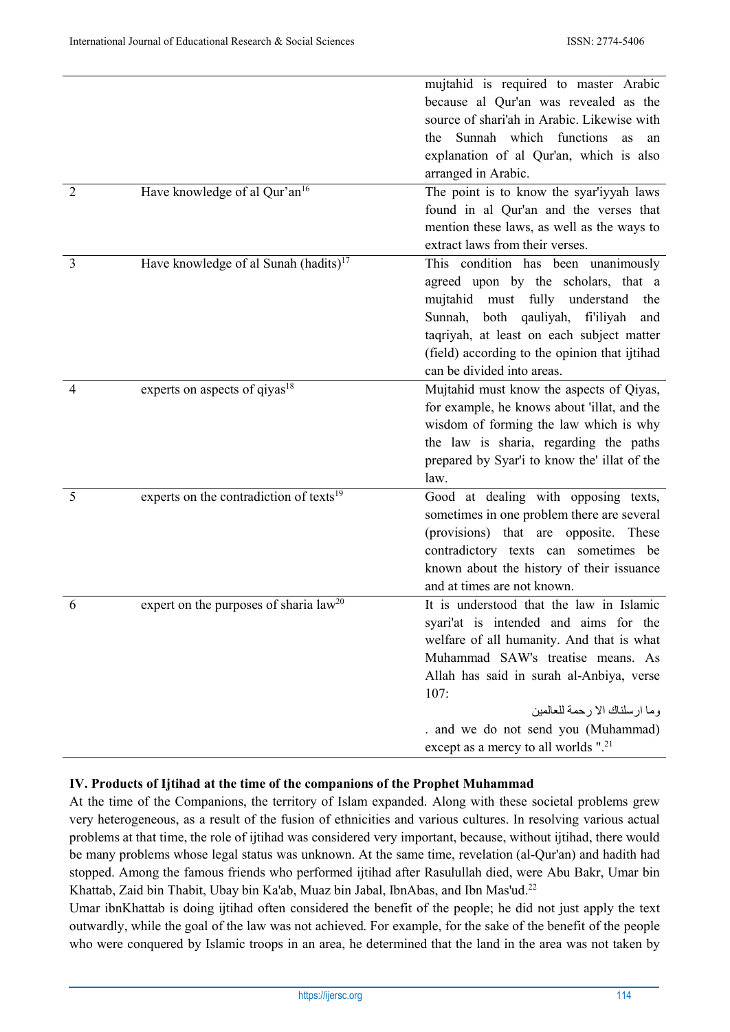|                |                                                     | mujtahid is required to master Arabic            |
|----------------|-----------------------------------------------------|--------------------------------------------------|
|                |                                                     | because al Qur'an was revealed as the            |
|                |                                                     | source of shari'ah in Arabic. Likewise with      |
|                |                                                     | Sunnah which functions<br>the<br><b>as</b><br>an |
|                |                                                     | explanation of al Qur'an, which is also          |
|                |                                                     | arranged in Arabic.                              |
| $\overline{2}$ |                                                     |                                                  |
|                | Have knowledge of al Qur'an <sup>16</sup>           | The point is to know the syar'iyyah laws         |
|                |                                                     | found in al Qur'an and the verses that           |
|                |                                                     | mention these laws, as well as the ways to       |
|                |                                                     | extract laws from their verses.                  |
| $\overline{3}$ | Have knowledge of al Sunah (hadits) $17$            | This condition has been unanimously              |
|                |                                                     | agreed upon by the scholars, that a              |
|                |                                                     | mujtahid must fully understand<br>the            |
|                |                                                     | both qauliyah, fi'iliyah<br>Sunnah,<br>and       |
|                |                                                     | taqriyah, at least on each subject matter        |
|                |                                                     | (field) according to the opinion that ijtihad    |
|                |                                                     | can be divided into areas.                       |
| 4              | experts on aspects of qiyas <sup>18</sup>           | Mujtahid must know the aspects of Qiyas,         |
|                |                                                     | for example, he knows about 'illat, and the      |
|                |                                                     | wisdom of forming the law which is why           |
|                |                                                     | the law is sharia, regarding the paths           |
|                |                                                     | prepared by Syar'i to know the' illat of the     |
|                |                                                     | law.                                             |
| 5              | experts on the contradiction of texts <sup>19</sup> | Good at dealing with opposing texts,             |
|                |                                                     | sometimes in one problem there are several       |
|                |                                                     | (provisions) that are opposite. These            |
|                |                                                     | contradictory texts can sometimes be             |
|                |                                                     | known about the history of their issuance        |
|                |                                                     | and at times are not known.                      |
| 6              | expert on the purposes of sharia $law20$            | It is understood that the law in Islamic         |
|                |                                                     | syari'at is intended and aims for the            |
|                |                                                     | welfare of all humanity. And that is what        |
|                |                                                     | Muhammad SAW's treatise means. As                |
|                |                                                     | Allah has said in surah al-Anbiya, verse         |
|                |                                                     | 107:                                             |
|                |                                                     | وما ار سلناك الا رحمة للعالمين                   |
|                |                                                     | . and we do not send you (Muhammad)              |
|                |                                                     | except as a mercy to all worlds ". <sup>21</sup> |

## **IV. Products of Ijtihad at the time of the companions of the Prophet Muhammad**

At the time of the Companions, the territory of Islam expanded. Along with these societal problems grew very heterogeneous, as a result of the fusion of ethnicities and various cultures. In resolving various actual problems at that time, the role of ijtihad was considered very important, because, without ijtihad, there would be many problems whose legal status was unknown. At the same time, revelation (al-Qur'an) and hadith had stopped. Among the famous friends who performed ijtihad after Rasulullah died, were Abu Bakr, Umar bin Khattab, Zaid bin Thabit, Ubay bin Ka'ab, Muaz bin Jabal, IbnAbas, and Ibn Mas'ud.<sup>22</sup>

Umar ibnKhattab is doing ijtihad often considered the benefit of the people; he did not just apply the text outwardly, while the goal of the law was not achieved. For example, for the sake of the benefit of the people who were conquered by Islamic troops in an area, he determined that the land in the area was not taken by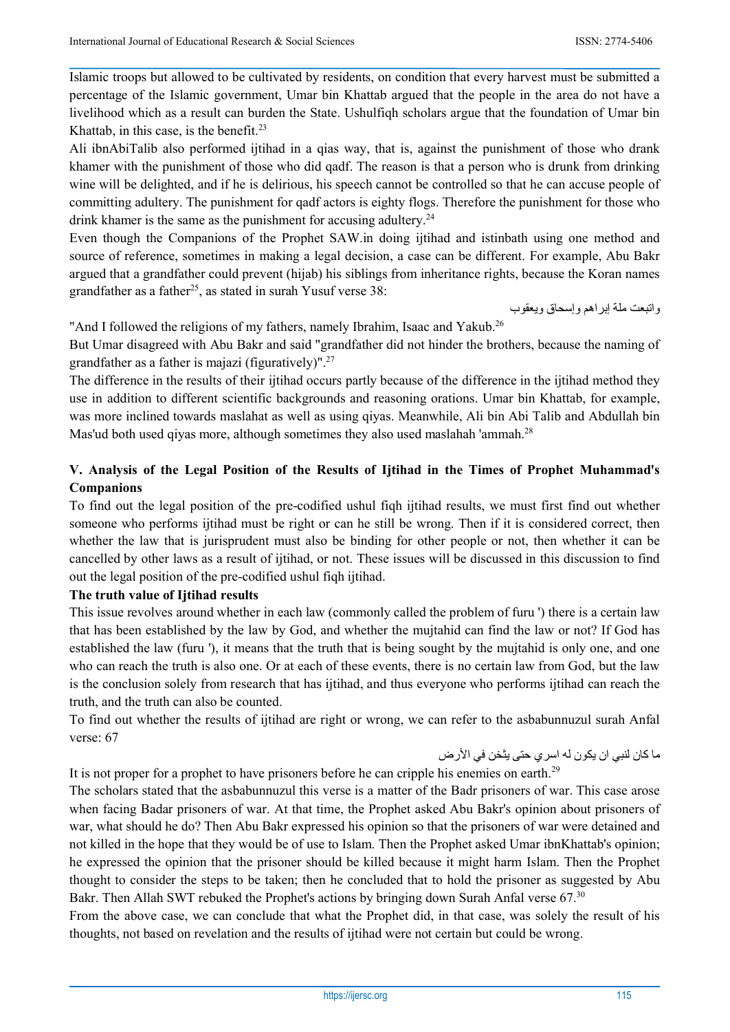Islamic troops but allowed to be cultivated by residents, on condition that every harvest must be submitted a percentage of the Islamic government, Umar bin Khattab argued that the people in the area do not have a livelihood which as a result can burden the State. Ushulfiqh scholars argue that the foundation of Umar bin Khattab, in this case, is the benefit. $23$ 

Ali ibnAbiTalib also performed ijtihad in a qias way, that is, against the punishment of those who drank khamer with the punishment of those who did qadf. The reason is that a person who is drunk from drinking wine will be delighted, and if he is delirious, his speech cannot be controlled so that he can accuse people of committing adultery. The punishment for qadf actors is eighty flogs. Therefore the punishment for those who drink khamer is the same as the punishment for accusing adultery.<sup>24</sup>

Even though the Companions of the Prophet SAW.in doing ijtihad and istinbath using one method and source of reference, sometimes in making a legal decision, a case can be different. For example, Abu Bakr argued that a grandfather could prevent (hijab) his siblings from inheritance rights, because the Koran names grandfather as a father<sup>25</sup>, as stated in surah Yusuf verse  $38$ :

واتبعت ملة إبراهم وإسحاق ويعقوب

"And I followed the religions of my fathers, namely Ibrahim, Isaac and Yakub.<sup>26</sup>

But Umar disagreed with Abu Bakr and said "grandfather did not hinder the brothers, because the naming of grandfather as a father is majazi (figuratively)".27

The difference in the results of their ijtihad occurs partly because of the difference in the ijtihad method they use in addition to different scientific backgrounds and reasoning orations. Umar bin Khattab, for example, was more inclined towards maslahat as well as using qiyas. Meanwhile, Ali bin Abi Talib and Abdullah bin Mas'ud both used qiyas more, although sometimes they also used maslahah 'ammah.<sup>28</sup>

## **V. Analysis of the Legal Position of the Results of Ijtihad in the Times of Prophet Muhammad's Companions**

To find out the legal position of the pre-codified ushul fiqh ijtihad results, we must first find out whether someone who performs ijtihad must be right or can he still be wrong. Then if it is considered correct, then whether the law that is jurisprudent must also be binding for other people or not, then whether it can be cancelled by other laws as a result of ijtihad, or not. These issues will be discussed in this discussion to find out the legal position of the pre-codified ushul fiqh ijtihad.

### **The truth value of Ijtihad results**

This issue revolves around whether in each law (commonly called the problem of furu ') there is a certain law that has been established by the law by God, and whether the mujtahid can find the law or not? If God has established the law (furu '), it means that the truth that is being sought by the mujtahid is only one, and one who can reach the truth is also one. Or at each of these events, there is no certain law from God, but the law is the conclusion solely from research that has ijtihad, and thus everyone who performs ijtihad can reach the truth, and the truth can also be counted.

To find out whether the results of ijtihad are right or wrong, we can refer to the asbabunnuzul surah Anfal verse: 67

ما كان لنبي ان يكون له اسري حتى يثخن في الأرض

It is not proper for a prophet to have prisoners before he can cripple his enemies on earth.29

The scholars stated that the asbabunnuzul this verse is a matter of the Badr prisoners of war. This case arose when facing Badar prisoners of war. At that time, the Prophet asked Abu Bakr's opinion about prisoners of war, what should he do? Then Abu Bakr expressed his opinion so that the prisoners of war were detained and not killed in the hope that they would be of use to Islam. Then the Prophet asked Umar ibnKhattab's opinion; he expressed the opinion that the prisoner should be killed because it might harm Islam. Then the Prophet thought to consider the steps to be taken; then he concluded that to hold the prisoner as suggested by Abu Bakr. Then Allah SWT rebuked the Prophet's actions by bringing down Surah Anfal verse 67.30

From the above case, we can conclude that what the Prophet did, in that case, was solely the result of his thoughts, not based on revelation and the results of ijtihad were not certain but could be wrong.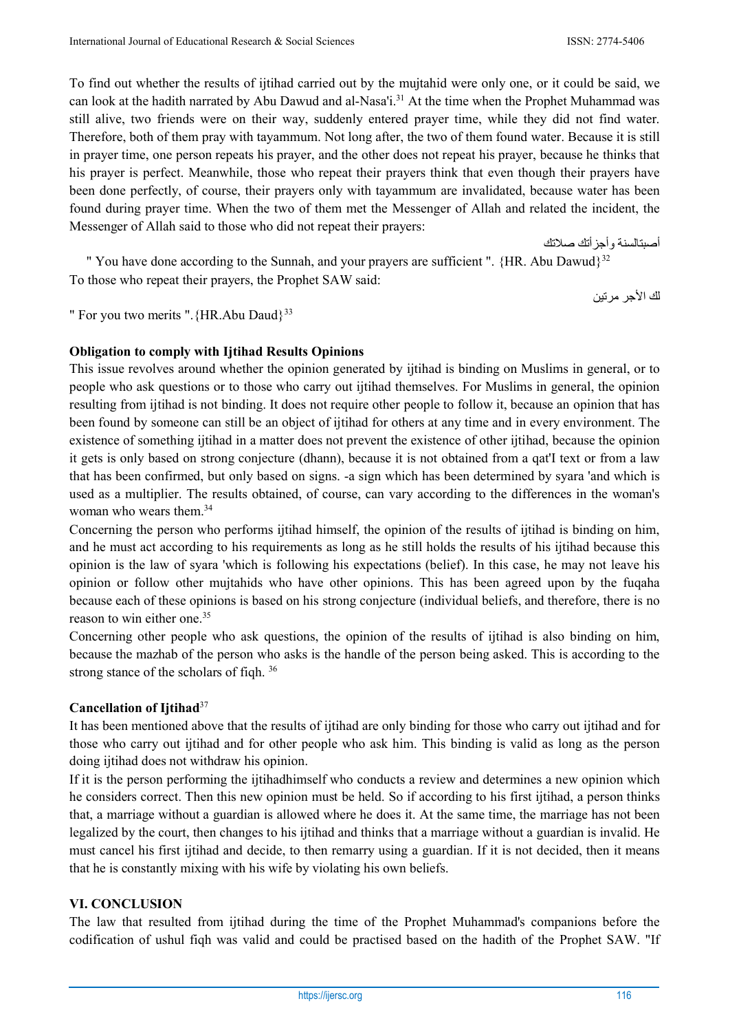To find out whether the results of ijtihad carried out by the mujtahid were only one, or it could be said, we can look at the hadith narrated by Abu Dawud and al-Nasa'i.31 At the time when the Prophet Muhammad was still alive, two friends were on their way, suddenly entered prayer time, while they did not find water. Therefore, both of them pray with tayammum. Not long after, the two of them found water. Because it is still in prayer time, one person repeats his prayer, and the other does not repeat his prayer, because he thinks that his prayer is perfect. Meanwhile, those who repeat their prayers think that even though their prayers have been done perfectly, of course, their prayers only with tayammum are invalidated, because water has been found during prayer time. When the two of them met the Messenger of Allah and related the incident, the Messenger of Allah said to those who did not repeat their prayers:

" You have done according to the Sunnah, and your prayers are sufficient ".  ${HR. Abu Dawud}^{32}$ To those who repeat their prayers, the Prophet SAW said:

لك الأجر مرتين

أصبتالسنة و أجز أتك صلاتك

" For you two merits ". {HR.Abu Daud}<sup>33</sup>

## **Obligation to comply with Ijtihad Results Opinions**

This issue revolves around whether the opinion generated by ijtihad is binding on Muslims in general, or to people who ask questions or to those who carry out ijtihad themselves. For Muslims in general, the opinion resulting from ijtihad is not binding. It does not require other people to follow it, because an opinion that has been found by someone can still be an object of ijtihad for others at any time and in every environment. The existence of something ijtihad in a matter does not prevent the existence of other ijtihad, because the opinion it gets is only based on strong conjecture (dhann), because it is not obtained from a qat'I text or from a law that has been confirmed, but only based on signs. -a sign which has been determined by syara 'and which is used as a multiplier. The results obtained, of course, can vary according to the differences in the woman's woman who wears them.<sup>34</sup>

Concerning the person who performs ijtihad himself, the opinion of the results of ijtihad is binding on him, and he must act according to his requirements as long as he still holds the results of his ijtihad because this opinion is the law of syara 'which is following his expectations (belief). In this case, he may not leave his opinion or follow other mujtahids who have other opinions. This has been agreed upon by the fuqaha because each of these opinions is based on his strong conjecture (individual beliefs, and therefore, there is no reason to win either one.<sup>35</sup>

Concerning other people who ask questions, the opinion of the results of ijtihad is also binding on him, because the mazhab of the person who asks is the handle of the person being asked. This is according to the strong stance of the scholars of fiqh. 36

#### **Cancellation of Ijtihad**<sup>37</sup>

It has been mentioned above that the results of ijtihad are only binding for those who carry out ijtihad and for those who carry out ijtihad and for other people who ask him. This binding is valid as long as the person doing ijtihad does not withdraw his opinion.

If it is the person performing the ijtihadhimself who conducts a review and determines a new opinion which he considers correct. Then this new opinion must be held. So if according to his first ijtihad, a person thinks that, a marriage without a guardian is allowed where he does it. At the same time, the marriage has not been legalized by the court, then changes to his ijtihad and thinks that a marriage without a guardian is invalid. He must cancel his first ijtihad and decide, to then remarry using a guardian. If it is not decided, then it means that he is constantly mixing with his wife by violating his own beliefs.

#### **VI. CONCLUSION**

The law that resulted from ijtihad during the time of the Prophet Muhammad's companions before the codification of ushul fiqh was valid and could be practised based on the hadith of the Prophet SAW. "If